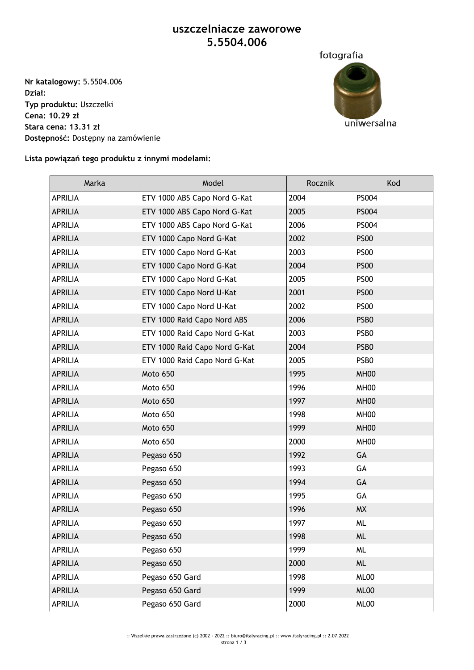## **uszczelniacze zaworowe 5.5504.006**

**Nr katalogowy:** 5.5504.006 **Dział: Typ produktu:** Uszczelki **Cena: 10.29 zł Stara cena: 13.31 zł Dostępność:** Dostępny na zamówienie



**Lista powiązań tego produktu z innymi modelami:**

| Marka          | Model                         | Rocznik | Kod              |
|----------------|-------------------------------|---------|------------------|
| <b>APRILIA</b> | ETV 1000 ABS Capo Nord G-Kat  | 2004    | PS004            |
| <b>APRILIA</b> | ETV 1000 ABS Capo Nord G-Kat  | 2005    | PS004            |
| <b>APRILIA</b> | ETV 1000 ABS Capo Nord G-Kat  | 2006    | PS004            |
| <b>APRILIA</b> | ETV 1000 Capo Nord G-Kat      | 2002    | <b>PS00</b>      |
| <b>APRILIA</b> | ETV 1000 Capo Nord G-Kat      | 2003    | <b>PS00</b>      |
| <b>APRILIA</b> | ETV 1000 Capo Nord G-Kat      | 2004    | <b>PS00</b>      |
| <b>APRILIA</b> | ETV 1000 Capo Nord G-Kat      | 2005    | <b>PS00</b>      |
| <b>APRILIA</b> | ETV 1000 Capo Nord U-Kat      | 2001    | <b>PS00</b>      |
| <b>APRILIA</b> | ETV 1000 Capo Nord U-Kat      | 2002    | <b>PS00</b>      |
| <b>APRILIA</b> | ETV 1000 Raid Capo Nord ABS   | 2006    | PSB <sub>0</sub> |
| <b>APRILIA</b> | ETV 1000 Raid Capo Nord G-Kat | 2003    | PSB <sub>0</sub> |
| <b>APRILIA</b> | ETV 1000 Raid Capo Nord G-Kat | 2004    | PSB <sub>0</sub> |
| <b>APRILIA</b> | ETV 1000 Raid Capo Nord G-Kat | 2005    | PSB0             |
| <b>APRILIA</b> | Moto 650                      | 1995    | MH <sub>00</sub> |
| <b>APRILIA</b> | Moto 650                      | 1996    | MH <sub>00</sub> |
| <b>APRILIA</b> | Moto 650                      | 1997    | MH <sub>00</sub> |
| <b>APRILIA</b> | Moto 650                      | 1998    | MH <sub>00</sub> |
| <b>APRILIA</b> | Moto 650                      | 1999    | MH <sub>00</sub> |
| <b>APRILIA</b> | Moto 650                      | 2000    | MH <sub>00</sub> |
| <b>APRILIA</b> | Pegaso 650                    | 1992    | GA               |
| <b>APRILIA</b> | Pegaso 650                    | 1993    | GA               |
| <b>APRILIA</b> | Pegaso 650                    | 1994    | GA               |
| <b>APRILIA</b> | Pegaso 650                    | 1995    | GA               |
| <b>APRILIA</b> | Pegaso 650                    | 1996    | <b>MX</b>        |
| <b>APRILIA</b> | Pegaso 650                    | 1997    | <b>ML</b>        |
| <b>APRILIA</b> | Pegaso 650                    | 1998    | <b>ML</b>        |
| <b>APRILIA</b> | Pegaso 650                    | 1999    | <b>ML</b>        |
| <b>APRILIA</b> | Pegaso 650                    | 2000    | <b>ML</b>        |
| APRILIA        | Pegaso 650 Gard               | 1998    | ML00             |
| <b>APRILIA</b> | Pegaso 650 Gard               | 1999    | ML00             |
| APRILIA        | Pegaso 650 Gard               | 2000    | ML00             |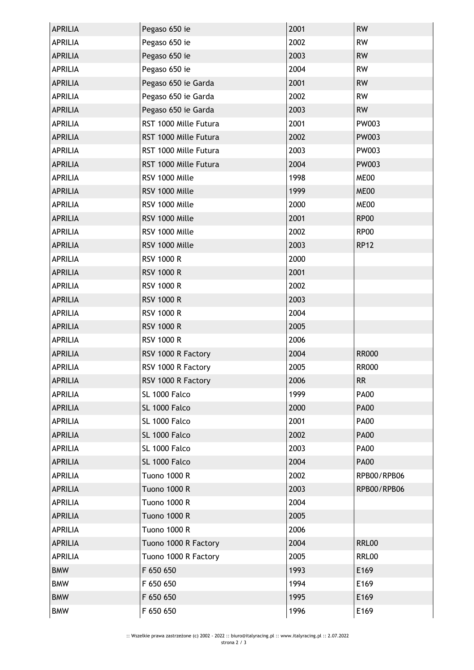| <b>APRILIA</b> | Pegaso 650 ie         | 2001 | <b>RW</b>    |
|----------------|-----------------------|------|--------------|
| <b>APRILIA</b> | Pegaso 650 ie         | 2002 | <b>RW</b>    |
| <b>APRILIA</b> | Pegaso 650 ie         | 2003 | <b>RW</b>    |
| <b>APRILIA</b> | Pegaso 650 ie         | 2004 | <b>RW</b>    |
| <b>APRILIA</b> | Pegaso 650 ie Garda   | 2001 | <b>RW</b>    |
| <b>APRILIA</b> | Pegaso 650 ie Garda   | 2002 | <b>RW</b>    |
| <b>APRILIA</b> | Pegaso 650 ie Garda   | 2003 | <b>RW</b>    |
| <b>APRILIA</b> | RST 1000 Mille Futura | 2001 | PW003        |
| <b>APRILIA</b> | RST 1000 Mille Futura | 2002 | PW003        |
| <b>APRILIA</b> | RST 1000 Mille Futura | 2003 | PW003        |
| <b>APRILIA</b> | RST 1000 Mille Futura | 2004 | PW003        |
| <b>APRILIA</b> | RSV 1000 Mille        | 1998 | ME00         |
| <b>APRILIA</b> | RSV 1000 Mille        | 1999 | ME00         |
| <b>APRILIA</b> | RSV 1000 Mille        | 2000 | ME00         |
| <b>APRILIA</b> | RSV 1000 Mille        | 2001 | <b>RP00</b>  |
| <b>APRILIA</b> | RSV 1000 Mille        | 2002 | <b>RP00</b>  |
| <b>APRILIA</b> | RSV 1000 Mille        | 2003 | <b>RP12</b>  |
| <b>APRILIA</b> | <b>RSV 1000 R</b>     | 2000 |              |
| <b>APRILIA</b> | <b>RSV 1000 R</b>     | 2001 |              |
| <b>APRILIA</b> | <b>RSV 1000 R</b>     | 2002 |              |
| <b>APRILIA</b> | <b>RSV 1000 R</b>     | 2003 |              |
| <b>APRILIA</b> | <b>RSV 1000 R</b>     | 2004 |              |
| <b>APRILIA</b> | <b>RSV 1000 R</b>     | 2005 |              |
| <b>APRILIA</b> | <b>RSV 1000 R</b>     | 2006 |              |
| <b>APRILIA</b> | RSV 1000 R Factory    | 2004 | <b>RR000</b> |
| <b>APRILIA</b> | RSV 1000 R Factory    | 2005 | <b>RR000</b> |
| <b>APRILIA</b> | RSV 1000 R Factory    | 2006 | <b>RR</b>    |
| <b>APRILIA</b> | SL 1000 Falco         | 1999 | <b>PA00</b>  |
| <b>APRILIA</b> | SL 1000 Falco         | 2000 | <b>PA00</b>  |
| <b>APRILIA</b> | SL 1000 Falco         | 2001 | <b>PA00</b>  |
| <b>APRILIA</b> | SL 1000 Falco         | 2002 | <b>PA00</b>  |
| <b>APRILIA</b> | SL 1000 Falco         | 2003 | <b>PA00</b>  |
| <b>APRILIA</b> | SL 1000 Falco         | 2004 | <b>PA00</b>  |
| <b>APRILIA</b> | <b>Tuono 1000 R</b>   | 2002 | RPB00/RPB06  |
| <b>APRILIA</b> | <b>Tuono 1000 R</b>   | 2003 | RPB00/RPB06  |
| <b>APRILIA</b> | <b>Tuono 1000 R</b>   | 2004 |              |
| <b>APRILIA</b> | <b>Tuono 1000 R</b>   | 2005 |              |
| <b>APRILIA</b> | <b>Tuono 1000 R</b>   | 2006 |              |
| <b>APRILIA</b> | Tuono 1000 R Factory  | 2004 | <b>RRL00</b> |
| <b>APRILIA</b> | Tuono 1000 R Factory  | 2005 | <b>RRL00</b> |
| <b>BMW</b>     | F 650 650             | 1993 | E169         |
| <b>BMW</b>     | F 650 650             | 1994 | E169         |
| <b>BMW</b>     | F 650 650             | 1995 | E169         |
| <b>BMW</b>     | F 650 650             | 1996 | E169         |